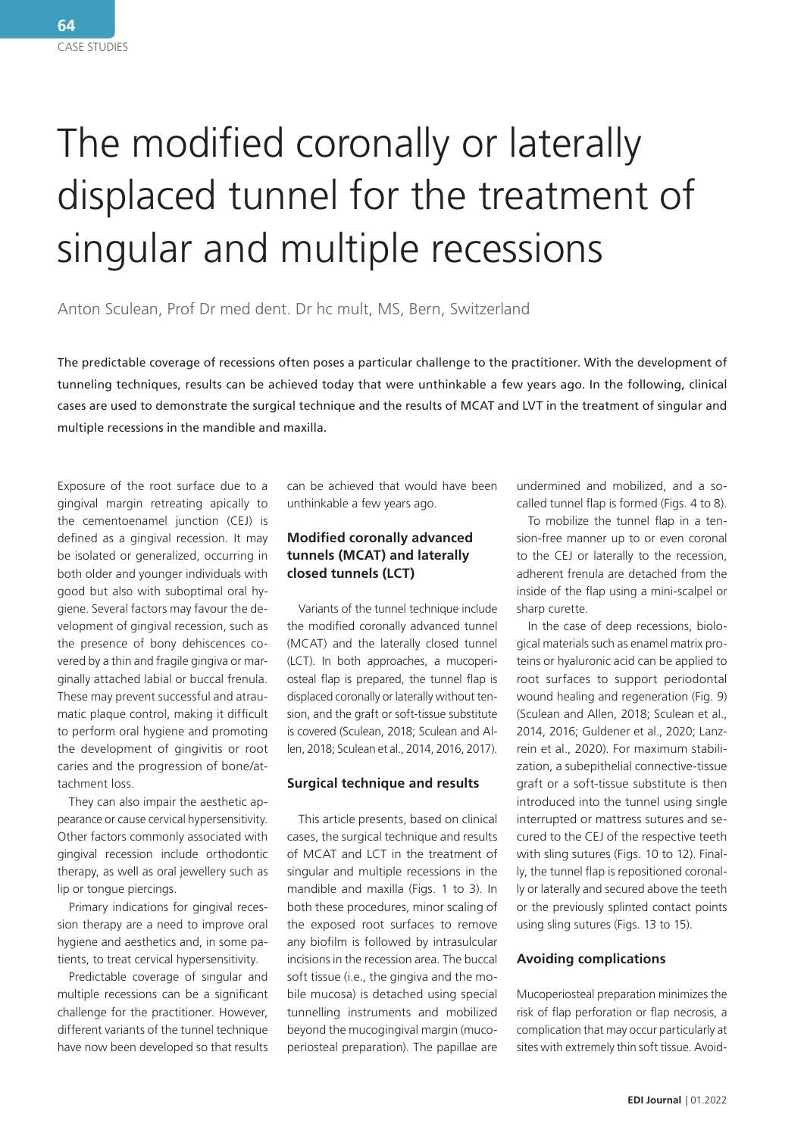# The modified coronally or laterally displaced tunnel for the treatment of singular and multiple recessions

Anton Sculean, Prof Dr med dent. Dr hc mult, MS, Bern, Switzerland

The predictable coverage of recessions often poses a particular challenge to the practitioner. With the development of tunneling techniques, results can be achieved today that were unthinkable a few years ago. In the following, clinical cases are used to demonstrate the surgical technique and the results of MCAT and LVT in the treatment of singular and multiple recessions in the mandible and maxilla.

Exposure of the root surface due to a gingival margin retreating apically to the cementoenamel junction (CEJ) is defined as a gingival recession. It may be isolated or generalized, occurring in both older and younger individuals with good but also with suboptimal oral hygiene. Several factors may favour the development of gingival recession, such as the presence of bony dehiscences covered by a thin and fragile gingiva or marginally attached labial or buccal frenula. These may prevent successful and atraumatic plaque control, making it difficult to perform oral hygiene and promoting the development of gingivitis or root caries and the progression of bone/attachment loss.

They can also impair the aesthetic appearance or cause cervical hypersensitivity. Other factors commonly associated with gingival recession include orthodontic therapy, as well as oral jewellery such as lip or tongue piercings.

Primary indications for gingival recession therapy are a need to improve oral hygiene and aesthetics and, in some patients, to treat cervical hypersensitivity.

Predictable coverage of singular and multiple recessions can be a significant challenge for the practitioner. However, different variants of the tunnel technique have now been developed so that results can be achieved that would have been unthinkable a few years ago.

## **Modified coronally advanced tunnels (MCAT) and laterally closed tunnels (LCT)**

Variants of the tunnel technique include the modified coronally advanced tunnel (MCAT) and the laterally closed tunnel (LCT). In both approaches, a mucoperiosteal flap is prepared, the tunnel flap is displaced coronally or laterally without tension, and the graft or soft-tissue substitute is covered (Sculean, 2018; Sculean and Allen, 2018; Sculean et al., 2014, 2016, 2017).

### **Surgical technique and results**

This article presents, based on clinical cases, the surgical technique and results of MCAT and LCT in the treatment of singular and multiple recessions in the mandible and maxilla (Figs. 1 to 3). In both these procedures, minor scaling of the exposed root surfaces to remove any biofilm is followed by intrasulcular incisions in the recession area. The buccal soft tissue (i.e., the gingiva and the mobile mucosa) is detached using special tunnelling instruments and mobilized beyond the mucogingival margin (mucoperiosteal preparation). The papillae are

undermined and mobilized, and a socalled tunnel flap is formed (Figs. 4 to 8).

To mobilize the tunnel flap in a tension-free manner up to or even coronal to the CEJ or laterally to the recession, adherent frenula are detached from the inside of the flap using a mini-scalpel or sharp curette.

In the case of deep recessions, biological materials such as enamel matrix proteins or hyaluronic acid can be applied to root surfaces to support periodontal wound healing and regeneration (Fig. 9) (Sculean and Allen, 2018; Sculean et al., 2014, 2016; Guldener et al., 2020; Lanzrein et al., 2020). For maximum stabilization, a subepithelial connective-tissue graft or a soft-tissue substitute is then introduced into the tunnel using single interrupted or mattress sutures and secured to the CEJ of the respective teeth with sling sutures (Figs. 10 to 12). Finally, the tunnel flap is repositioned coronally or laterally and secured above the teeth or the previously splinted contact points using sling sutures (Figs. 13 to 15).

### **Avoiding complications**

Mucoperiosteal preparation minimizes the risk of flap perforation or flap necrosis, a complication that may occur particularly at sites with extremely thin soft tissue. Avoid-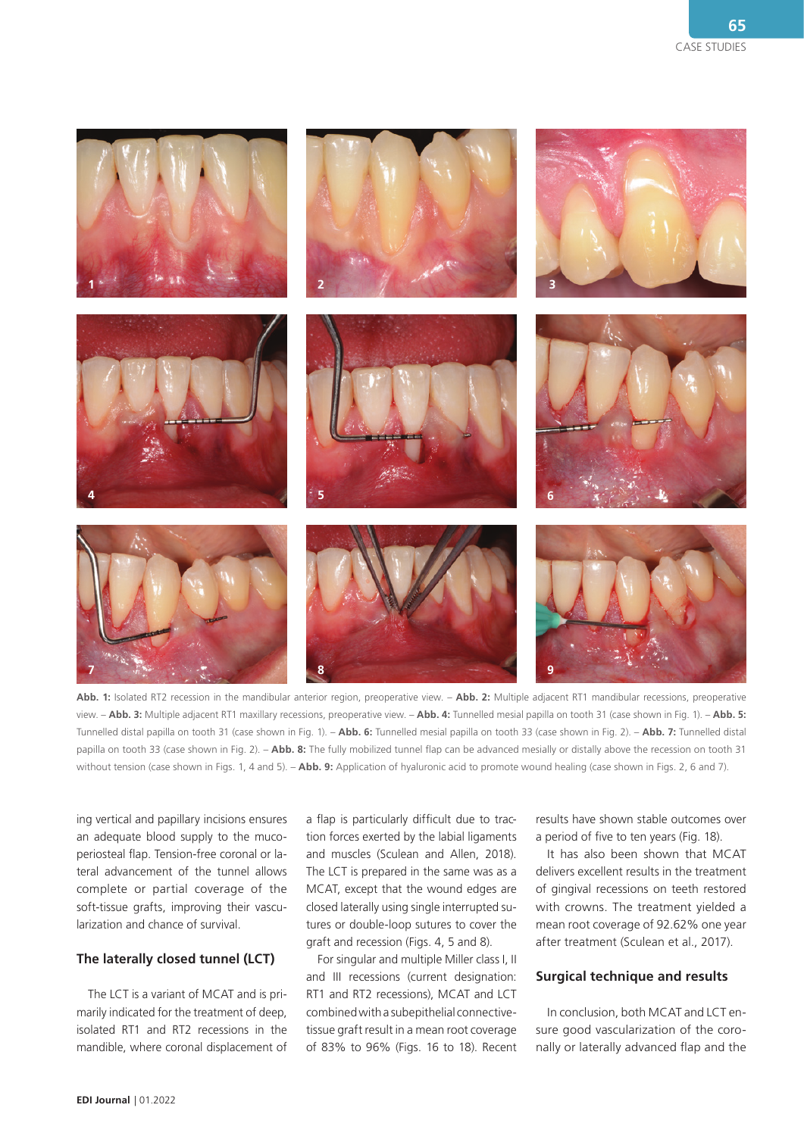

**Abb. 1:** Isolated RT2 recession in the mandibular anterior region, preoperative view. – **Abb. 2:** Multiple adjacent RT1 mandibular recessions, preoperative view. – **Abb. 3:** Multiple adjacent RT1 maxillary recessions, preoperative view. – **Abb. 4:** Tunnelled mesial papilla on tooth 31 (case shown in Fig. 1). – **Abb. 5:**  Tunnelled distal papilla on tooth 31 (case shown in Fig. 1). – **Abb. 6:** Tunnelled mesial papilla on tooth 33 (case shown in Fig. 2). – **Abb. 7:** Tunnelled distal papilla on tooth 33 (case shown in Fig. 2). – **Abb. 8:** The fully mobilized tunnel flap can be advanced mesially or distally above the recession on tooth 31 without tension (case shown in Figs. 1, 4 and 5). – **Abb. 9:** Application of hyaluronic acid to promote wound healing (case shown in Figs. 2, 6 and 7).

ing vertical and papillary incisions ensures an adequate blood supply to the mucoperiosteal flap. Tension-free coronal or lateral advancement of the tunnel allows complete or partial coverage of the soft-tissue grafts, improving their vascularization and chance of survival.

#### **The laterally closed tunnel (LCT)**

The LCT is a variant of MCAT and is primarily indicated for the treatment of deep, isolated RT1 and RT2 recessions in the mandible, where coronal displacement of

a flap is particularly difficult due to traction forces exerted by the labial ligaments and muscles (Sculean and Allen, 2018). The LCT is prepared in the same was as a MCAT, except that the wound edges are closed laterally using single interrupted sutures or double-loop sutures to cover the graft and recession (Figs. 4, 5 and 8).

For singular and multiple Miller class I, II and III recessions (current designation: RT1 and RT2 recessions), MCAT and LCT combined with a subepithelial connectivetissue graft result in a mean root coverage of 83% to 96% (Figs. 16 to 18). Recent

results have shown stable outcomes over a period of five to ten years (Fig. 18).

It has also been shown that MCAT delivers excellent results in the treatment of gingival recessions on teeth restored with crowns. The treatment yielded a mean root coverage of 92.62% one year after treatment (Sculean et al., 2017).

#### **Surgical technique and results**

In conclusion, both MCAT and LCT ensure good vascularization of the coronally or laterally advanced flap and the